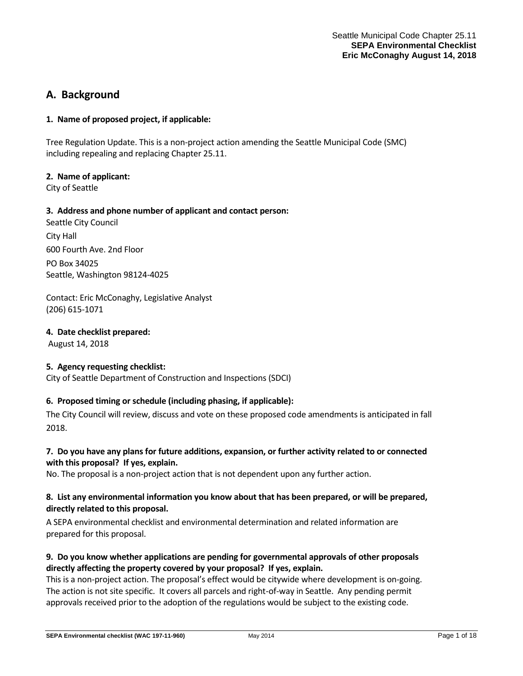# **A. Background**

## **1. Name of proposed project, if applicable:**

Tree Regulation Update. This is a non-project action amending the Seattle Municipal Code (SMC) including repealing and replacing Chapter 25.11.

## **2. Name of applicant:**

City of Seattle

## **3. Address and phone number of applicant and contact person:**

Seattle City Council City Hall 600 Fourth Ave. 2nd Floor PO Box 34025 Seattle, Washington 98124-4025

Contact: Eric McConaghy, Legislative Analyst (206) 615-1071

#### **4. Date checklist prepared:**

August 14, 2018

#### **5. Agency requesting checklist:**

City of Seattle Department of Construction and Inspections (SDCI)

# **6. Proposed timing or schedule (including phasing, if applicable):**

The City Council will review, discuss and vote on these proposed code amendments is anticipated in fall 2018.

# **7. Do you have any plans for future additions, expansion, or further activity related to or connected with this proposal? If yes, explain.**

No. The proposal is a non-project action that is not dependent upon any further action.

# **8. List any environmental information you know about that has been prepared, or will be prepared, directly related to this proposal.**

A SEPA environmental checklist and environmental determination and related information are prepared for this proposal.

# **9. Do you know whether applications are pending for governmental approvals of other proposals directly affecting the property covered by your proposal? If yes, explain.**

This is a non-project action. The proposal's effect would be citywide where development is on-going. The action is not site specific. It covers all parcels and right-of-way in Seattle. Any pending permit approvals received prior to the adoption of the regulations would be subject to the existing code.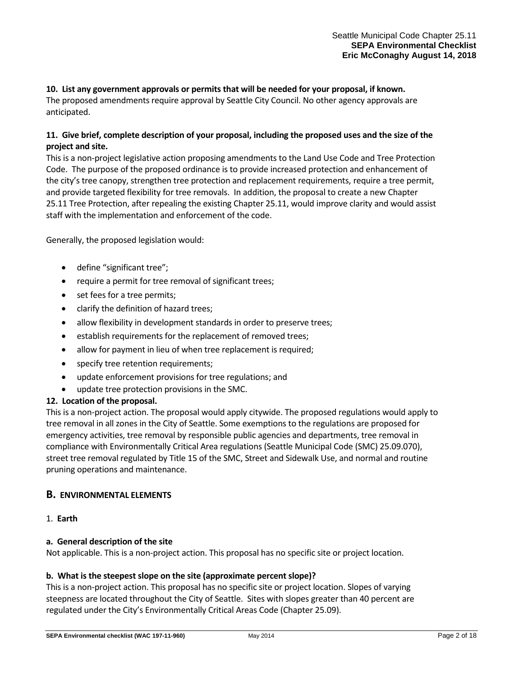## **10. List any government approvals or permits that will be needed for your proposal, if known.**

The proposed amendments require approval by Seattle City Council. No other agency approvals are anticipated.

# **11. Give brief, complete description of your proposal, including the proposed uses and the size of the project and site.**

This is a non-project legislative action proposing amendments to the Land Use Code and Tree Protection Code. The purpose of the proposed ordinance is to provide increased protection and enhancement of the city's tree canopy, strengthen tree protection and replacement requirements, require a tree permit, and provide targeted flexibility for tree removals. In addition, the proposal to create a new Chapter 25.11 Tree Protection, after repealing the existing Chapter 25.11, would improve clarity and would assist staff with the implementation and enforcement of the code.

Generally, the proposed legislation would:

- define "significant tree";
- require a permit for tree removal of significant trees;
- set fees for a tree permits;
- clarify the definition of hazard trees;
- allow flexibility in development standards in order to preserve trees;
- establish requirements for the replacement of removed trees;
- allow for payment in lieu of when tree replacement is required;
- specify tree retention requirements;
- update enforcement provisions for tree regulations; and
- update tree protection provisions in the SMC.

# **12. Location of the proposal.**

This is a non-project action. The proposal would apply citywide. The proposed regulations would apply to tree removal in all zones in the City of Seattle. Some exemptions to the regulations are proposed for emergency activities, tree removal by responsible public agencies and departments, tree removal in compliance with Environmentally Critical Area regulations (Seattle Municipal Code (SMC) 25.09.070), street tree removal regulated by Title 15 of the SMC, Street and Sidewalk Use, and normal and routine pruning operations and maintenance.

# **B. ENVIRONMENTAL ELEMENTS**

1. **Earth** 

# **a. General description of the site**

Not applicable. This is a non-project action. This proposal has no specific site or project location.

# **b. What is the steepest slope on the site (approximate percent slope)?**

This is a non-project action. This proposal has no specific site or project location. Slopes of varying steepness are located throughout the City of Seattle. Sites with slopes greater than 40 percent are regulated under the City's Environmentally Critical Areas Code (Chapter 25.09).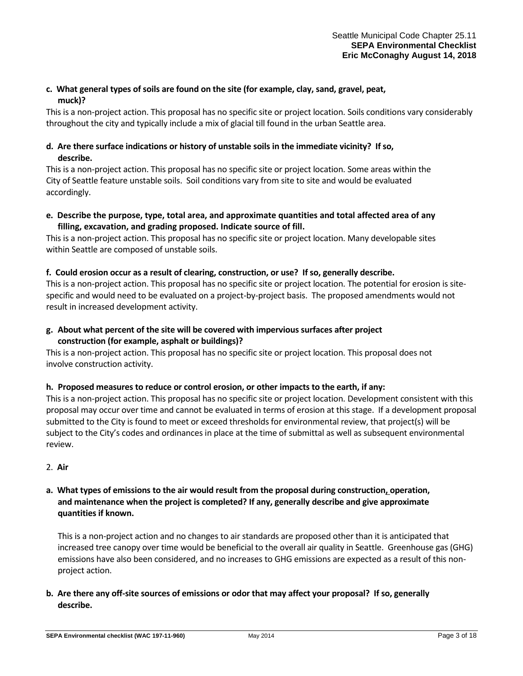# **c. What general types of soils are found on the site (for example, clay, sand, gravel, peat, muck)?**

This is a non-project action. This proposal has no specific site or project location. Soils conditions vary considerably throughout the city and typically include a mix of glacial till found in the urban Seattle area.

# **d. Are there surface indications or history of unstable soils in the immediate vicinity? If so, describe.**

This is a non-project action. This proposal has no specific site or project location. Some areas within the City of Seattle feature unstable soils. Soil conditions vary from site to site and would be evaluated accordingly.

**e. Describe the purpose, type, total area, and approximate quantities and total affected area of any filling, excavation, and grading proposed. Indicate source of fill.**

This is a non-project action. This proposal has no specific site or project location. Many developable sites within Seattle are composed of unstable soils.

# **f. Could erosion occur as a result of clearing, construction, or use? If so, generally describe.**

This is a non-project action. This proposal has no specific site or project location. The potential for erosion is sitespecific and would need to be evaluated on a project-by-project basis. The proposed amendments would not result in increased development activity.

**g. About what percent of the site will be covered with impervious surfaces after project construction (for example, asphalt or buildings)?**

This is a non-project action. This proposal has no specific site or project location. This proposal does not involve construction activity.

# **h. Proposed measures to reduce or control erosion, or other impacts to the earth, if any:**

This is a non-project action. This proposal has no specific site or project location. Development consistent with this proposal may occur over time and cannot be evaluated in terms of erosion at this stage. If a development proposal submitted to the City is found to meet or exceed thresholds for environmental review, that project(s) will be subject to the City's codes and ordinances in place at the time of submittal as well as subsequent environmental review.

# 2. **Air**

# **a. What types of emissions to the air would result from the proposal during construction, operation, and maintenance when the project is completed? If any, generally describe and give approximate quantities if known.**

This is a non-project action and no changes to air standards are proposed other than it is anticipated that increased tree canopy over time would be beneficial to the overall air quality in Seattle. Greenhouse gas (GHG) emissions have also been considered, and no increases to GHG emissions are expected as a result of this nonproject action.

**b. Are there any off-site sources of emissions or odor that may affect your proposal? If so, generally describe.**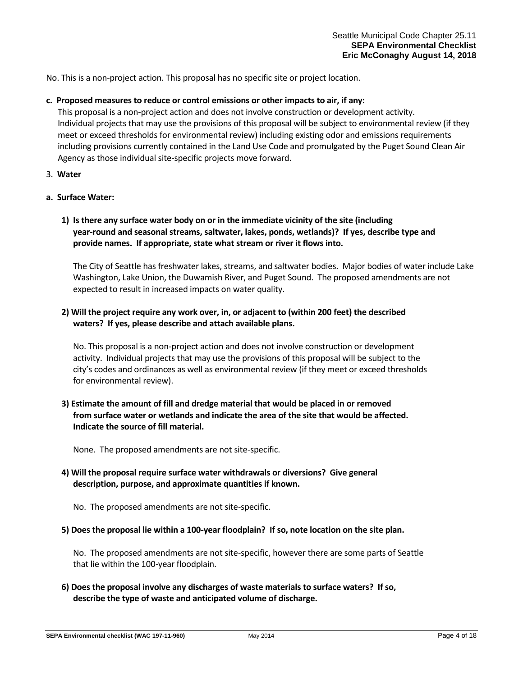No. This is a non-project action. This proposal has no specific site or project location.

#### **c. Proposed measures to reduce or control emissions or other impacts to air, if any:**

This proposal is a non-project action and does not involve construction or development activity. Individual projects that may use the provisions of this proposal will be subject to environmental review (if they meet or exceed thresholds for environmental review) including existing odor and emissions requirements including provisions currently contained in the Land Use Code and promulgated by the Puget Sound Clean Air Agency as those individual site-specific projects move forward.

3. **Water**

## **a. Surface Water:**

# **1) Is there any surface water body on or in the immediate vicinity of the site (including year-round and seasonal streams, saltwater, lakes, ponds, wetlands)? If yes, describe type and provide names. If appropriate, state what stream or river it flows into.**

The City of Seattle has freshwater lakes, streams, and saltwater bodies. Major bodies of water include Lake Washington, Lake Union, the Duwamish River, and Puget Sound. The proposed amendments are not expected to result in increased impacts on water quality.

# **2) Will the project require any work over, in, or adjacent to (within 200 feet) the described waters? If yes, please describe and attach available plans.**

No. This proposal is a non-project action and does not involve construction or development activity. Individual projects that may use the provisions of this proposal will be subject to the city's codes and ordinances as well as environmental review (if they meet or exceed thresholds for environmental review).

**3) Estimate the amount of fill and dredge material that would be placed in or removed from surface water or wetlands and indicate the area of the site that would be affected. Indicate the source of fill material.**

None. The proposed amendments are not site-specific.

# **4) Will the proposal require surface water withdrawals or diversions? Give general description, purpose, and approximate quantities if known.**

No. The proposed amendments are not site-specific.

#### **5) Does the proposal lie within a 100-year floodplain? If so, note location on the site plan.**

No. The proposed amendments are not site-specific, however there are some parts of Seattle that lie within the 100-year floodplain.

**6) Does the proposal involve any discharges of waste materials to surface waters? If so, describe the type of waste and anticipated volume of discharge.**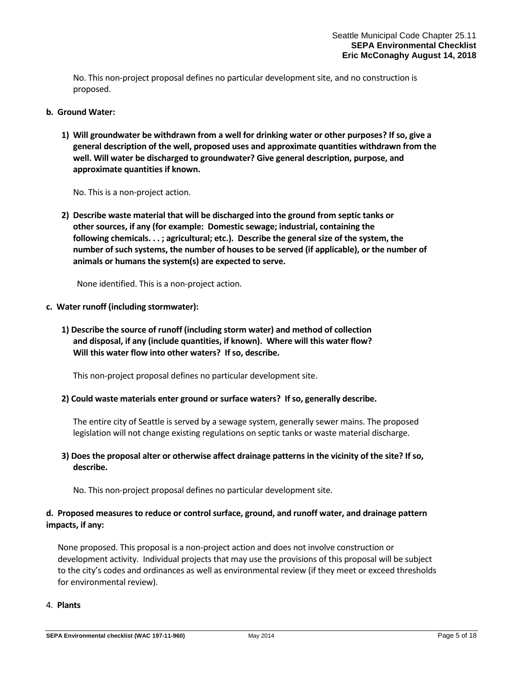No. This non-project proposal defines no particular development site, and no construction is proposed.

## **b. Ground Water:**

**1) Will groundwater be withdrawn from a well for drinking water or other purposes? If so, give a general description of the well, proposed uses and approximate quantities withdrawn from the well. Will water be discharged to groundwater? Give general description, purpose, and approximate quantities if known.**

No. This is a non-project action.

**2) Describe waste material that will be discharged into the ground from septic tanks or other sources, if any (for example: Domestic sewage; industrial, containing the following chemicals. . . ; agricultural; etc.). Describe the general size of the system, the number of such systems, the number of houses to be served (if applicable), or the number of animals or humans the system(s) are expected to serve.**

None identified. This is a non-project action.

## **c. Water runoff (including stormwater):**

**1) Describe the source of runoff (including storm water) and method of collection and disposal, if any (include quantities, if known). Where will this water flow? Will this water flow into other waters? If so, describe.**

This non-project proposal defines no particular development site.

# **2) Could waste materials enter ground or surface waters? If so, generally describe.**

The entire city of Seattle is served by a sewage system, generally sewer mains. The proposed legislation will not change existing regulations on septic tanks or waste material discharge.

# **3) Does the proposal alter or otherwise affect drainage patterns in the vicinity of the site? If so, describe.**

No. This non-project proposal defines no particular development site.

# **d. Proposed measures to reduce or control surface, ground, and runoff water, and drainage pattern impacts, if any:**

None proposed. This proposal is a non-project action and does not involve construction or development activity. Individual projects that may use the provisions of this proposal will be subject to the city's codes and ordinances as well as environmental review (if they meet or exceed thresholds for environmental review).

# 4. **Plants**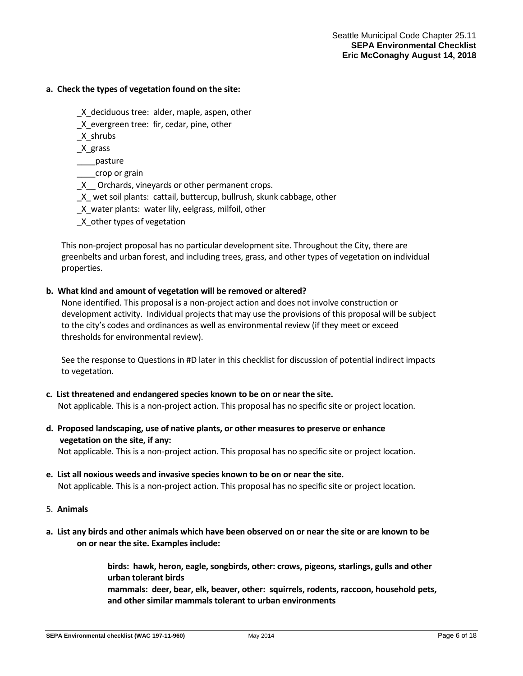## **a. Check the types of vegetation found on the site:**

- \_X\_deciduous tree: alder, maple, aspen, other
- \_X\_evergreen tree: fir, cedar, pine, other
- \_X\_shrubs
- \_X\_grass
- \_\_\_\_pasture
- \_\_\_\_crop or grain
- \_X\_\_ Orchards, vineyards or other permanent crops.
- \_X\_ wet soil plants: cattail, buttercup, bullrush, skunk cabbage, other
- \_X\_water plants: water lily, eelgrass, milfoil, other
- \_X\_other types of vegetation

This non-project proposal has no particular development site. Throughout the City, there are greenbelts and urban forest, and including trees, grass, and other types of vegetation on individual properties.

## **b. What kind and amount of vegetation will be removed or altered?**

None identified. This proposal is a non-project action and does not involve construction or development activity. Individual projects that may use the provisions of this proposal will be subject to the city's codes and ordinances as well as environmental review (if they meet or exceed thresholds for environmental review).

See the response to Questions in #D later in this checklist for discussion of potential indirect impacts to vegetation.

- **c. List threatened and endangered species known to be on or near the site.** Not applicable. This is a non-project action. This proposal has no specific site or project location.
- **d. Proposed landscaping, use of native plants, or other measures to preserve or enhance vegetation on the site, if any:**

Not applicable. This is a non-project action. This proposal has no specific site or project location.

- **e. List all noxious weeds and invasive species known to be on or near the site.** Not applicable. This is a non-project action. This proposal has no specific site or project location.
- 5. **Animals**
- **a. List any birds and other animals which have been observed on or near the site or are known to be on or near the site. Examples include:**

**birds: hawk, heron, eagle, songbirds, other: crows, pigeons, starlings, gulls and other urban tolerant birds** 

**mammals: deer, bear, elk, beaver, other: squirrels, rodents, raccoon, household pets, and other similar mammals tolerant to urban environments**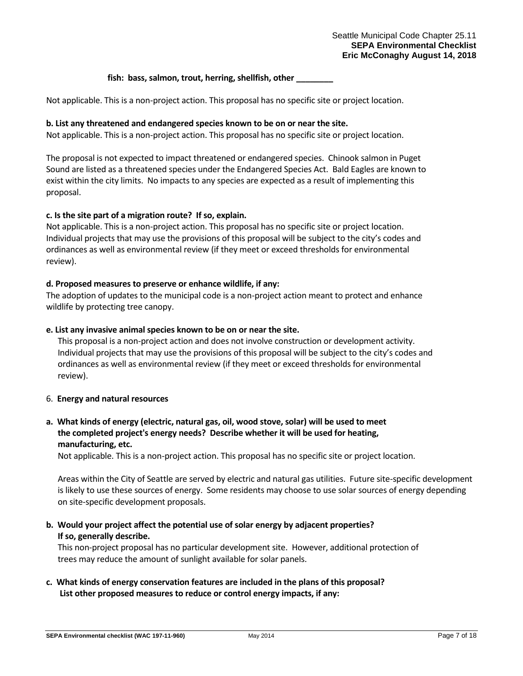## fish: bass, salmon, trout, herring, shellfish, other

Not applicable. This is a non-project action. This proposal has no specific site or project location.

## **b. List any threatened and endangered species known to be on or near the site.**

Not applicable. This is a non-project action. This proposal has no specific site or project location.

The proposal is not expected to impact threatened or endangered species. Chinook salmon in Puget Sound are listed as a threatened species under the Endangered Species Act. Bald Eagles are known to exist within the city limits. No impacts to any species are expected as a result of implementing this proposal.

## **c. Is the site part of a migration route? If so, explain.**

Not applicable. This is a non-project action. This proposal has no specific site or project location. Individual projects that may use the provisions of this proposal will be subject to the city's codes and ordinances as well as environmental review (if they meet or exceed thresholds for environmental review).

## **d. Proposed measures to preserve or enhance wildlife, if any:**

The adoption of updates to the municipal code is a non-project action meant to protect and enhance wildlife by protecting tree canopy.

## **e. List any invasive animal species known to be on or near the site.**

This proposal is a non-project action and does not involve construction or development activity. Individual projects that may use the provisions of this proposal will be subject to the city's codes and ordinances as well as environmental review (if they meet or exceed thresholds for environmental review).

#### 6. **Energy and natural resources**

# **a. What kinds of energy (electric, natural gas, oil, wood stove, solar) will be used to meet the completed project's energy needs? Describe whether it will be used for heating, manufacturing, etc.**

Not applicable. This is a non-project action. This proposal has no specific site or project location.

Areas within the City of Seattle are served by electric and natural gas utilities. Future site-specific development is likely to use these sources of energy. Some residents may choose to use solar sources of energy depending on site-specific development proposals.

# **b. Would your project affect the potential use of solar energy by adjacent properties? If so, generally describe.**

This non-project proposal has no particular development site. However, additional protection of trees may reduce the amount of sunlight available for solar panels.

# **c. What kinds of energy conservation features are included in the plans of this proposal? List other proposed measures to reduce or control energy impacts, if any:**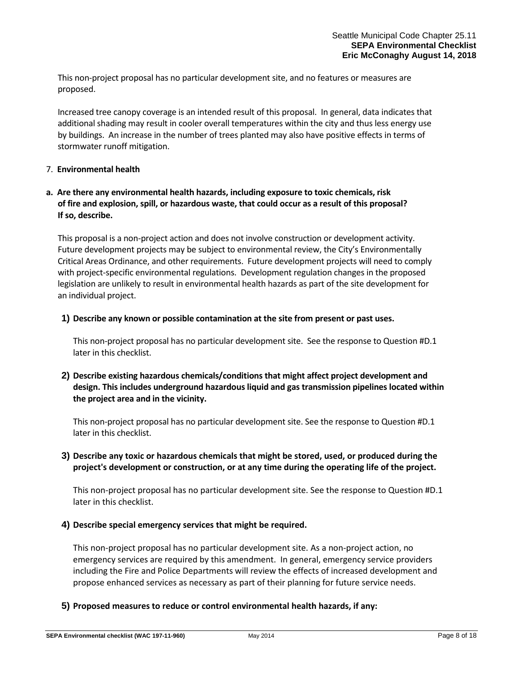This non-project proposal has no particular development site, and no features or measures are proposed.

Increased tree canopy coverage is an intended result of this proposal. In general, data indicates that additional shading may result in cooler overall temperatures within the city and thus less energy use by buildings. An increase in the number of trees planted may also have positive effects in terms of stormwater runoff mitigation.

## 7. **Environmental health**

# **a. Are there any environmental health hazards, including exposure to toxic chemicals, risk of fire and explosion, spill, or hazardous waste, that could occur as a result of this proposal? If so, describe.**

This proposal is a non-project action and does not involve construction or development activity. Future development projects may be subject to environmental review, the City's Environmentally Critical Areas Ordinance, and other requirements. Future development projects will need to comply with project-specific environmental regulations. Development regulation changes in the proposed legislation are unlikely to result in environmental health hazards as part of the site development for an individual project.

## **1) Describe any known or possible contamination at the site from present or past uses.**

This non-project proposal has no particular development site. See the response to Question #D.1 later in this checklist.

# **2) Describe existing hazardous chemicals/conditions that might affect project development and design. This includes underground hazardous liquid and gas transmission pipelines located within the project area and in the vicinity.**

This non-project proposal has no particular development site. See the response to Question #D.1 later in this checklist.

# **3) Describe any toxic or hazardous chemicals that might be stored, used, or produced during the project's development or construction, or at any time during the operating life of the project.**

This non-project proposal has no particular development site. See the response to Question #D.1 later in this checklist.

# **4) Describe special emergency services that might be required.**

This non-project proposal has no particular development site. As a non-project action, no emergency services are required by this amendment. In general, emergency service providers including the Fire and Police Departments will review the effects of increased development and propose enhanced services as necessary as part of their planning for future service needs.

# **5) Proposed measures to reduce or control environmental health hazards, if any:**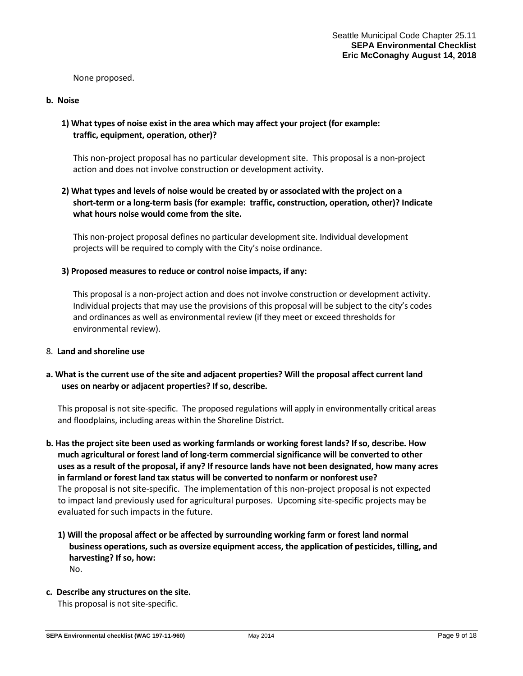None proposed.

#### **b. Noise**

# **1) What types of noise exist in the area which may affect your project (for example: traffic, equipment, operation, other)?**

This non-project proposal has no particular development site. This proposal is a non-project action and does not involve construction or development activity.

# **2) What types and levels of noise would be created by or associated with the project on a short-term or a long-term basis (for example: traffic, construction, operation, other)? Indicate what hours noise would come from the site.**

This non-project proposal defines no particular development site. Individual development projects will be required to comply with the City's noise ordinance.

## **3) Proposed measures to reduce or control noise impacts, if any:**

This proposal is a non-project action and does not involve construction or development activity. Individual projects that may use the provisions of this proposal will be subject to the city's codes and ordinances as well as environmental review (if they meet or exceed thresholds for environmental review).

#### 8. **Land and shoreline use**

# **a. What is the current use of the site and adjacent properties? Will the proposal affect current land uses on nearby or adjacent properties? If so, describe.**

This proposal is not site-specific. The proposed regulations will apply in environmentally critical areas and floodplains, including areas within the Shoreline District.

- **b. Has the project site been used as working farmlands or working forest lands? If so, describe. How much agricultural or forest land of long-term commercial significance will be converted to other uses as a result of the proposal, if any? If resource lands have not been designated, how many acres in farmland or forest land tax status will be converted to nonfarm or nonforest use?** The proposal is not site-specific. The implementation of this non-project proposal is not expected to impact land previously used for agricultural purposes. Upcoming site-specific projects may be evaluated for such impacts in the future.
	- **1) Will the proposal affect or be affected by surrounding working farm or forest land normal business operations, such as oversize equipment access, the application of pesticides, tilling, and harvesting? If so, how:** No.

# **c. Describe any structures on the site.**

This proposal is not site-specific.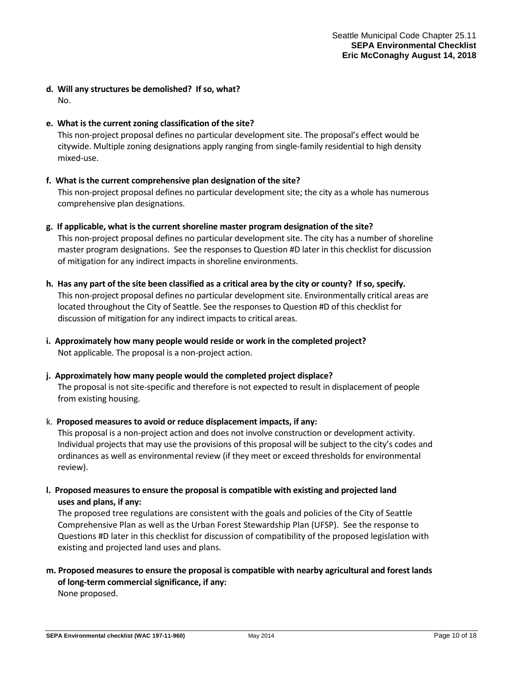- **d. Will any structures be demolished? If so, what?** No.
- **e. What is the current zoning classification of the site?**

This non-project proposal defines no particular development site. The proposal's effect would be citywide. Multiple zoning designations apply ranging from single-family residential to high density mixed-use.

## **f. What is the current comprehensive plan designation of the site?**

This non-project proposal defines no particular development site; the city as a whole has numerous comprehensive plan designations.

- **g. If applicable, what is the current shoreline master program designation of the site?** This non-project proposal defines no particular development site. The city has a number of shoreline master program designations. See the responses to Question #D later in this checklist for discussion of mitigation for any indirect impacts in shoreline environments.
- **h. Has any part of the site been classified as a critical area by the city or county? If so, specify.** This non-project proposal defines no particular development site. Environmentally critical areas are located throughout the City of Seattle. See the responses to Question #D of this checklist for discussion of mitigation for any indirect impacts to critical areas.
- **i. Approximately how many people would reside or work in the completed project?** Not applicable. The proposal is a non-project action.
- **j. Approximately how many people would the completed project displace?** The proposal is not site-specific and therefore is not expected to result in displacement of people from existing housing.

#### k. **Proposed measures to avoid or reduce displacement impacts, if any:**

This proposal is a non-project action and does not involve construction or development activity. Individual projects that may use the provisions of this proposal will be subject to the city's codes and ordinances as well as environmental review (if they meet or exceed thresholds for environmental review).

**l. Proposed measures to ensure the proposal is compatible with existing and projected land uses and plans, if any:**

The proposed tree regulations are consistent with the goals and policies of the City of Seattle Comprehensive Plan as well as the Urban Forest Stewardship Plan (UFSP). See the response to Questions #D later in this checklist for discussion of compatibility of the proposed legislation with existing and projected land uses and plans.

# **m. Proposed measures to ensure the proposal is compatible with nearby agricultural and forest lands of long-term commercial significance, if any:** None proposed.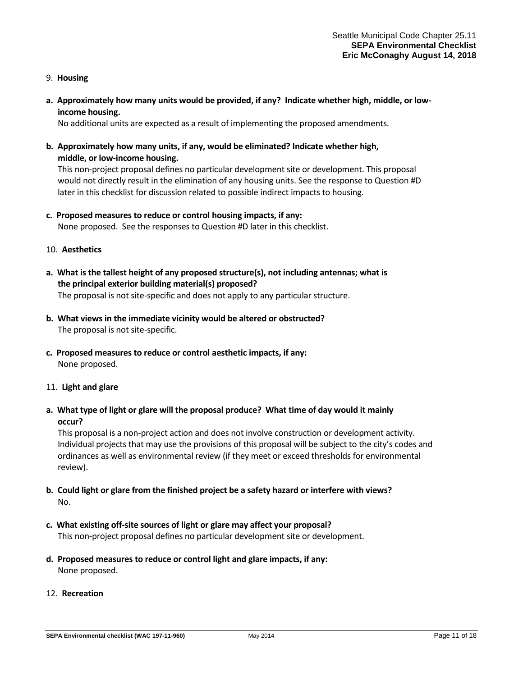- 9. **Housing**
- **a. Approximately how many units would be provided, if any? Indicate whether high, middle, or lowincome housing.**

No additional units are expected as a result of implementing the proposed amendments.

**b. Approximately how many units, if any, would be eliminated? Indicate whether high, middle, or low-income housing.**

This non-project proposal defines no particular development site or development. This proposal would not directly result in the elimination of any housing units. See the response to Question #D later in this checklist for discussion related to possible indirect impacts to housing.

## **c. Proposed measures to reduce or control housing impacts, if any:**

None proposed. See the responses to Question #D later in this checklist.

#### 10. **Aesthetics**

- **a. What is the tallest height of any proposed structure(s), not including antennas; what is the principal exterior building material(s) proposed?** The proposal is not site-specific and does not apply to any particular structure.
- **b. What views in the immediate vicinity would be altered or obstructed?** The proposal is not site-specific.
- **c. Proposed measures to reduce or control aesthetic impacts, if any:** None proposed.

#### 11. **Light and glare**

**a. What type of light or glare will the proposal produce? What time of day would it mainly occur?**

This proposal is a non-project action and does not involve construction or development activity. Individual projects that may use the provisions of this proposal will be subject to the city's codes and ordinances as well as environmental review (if they meet or exceed thresholds for environmental review).

- **b. Could light or glare from the finished project be a safety hazard or interfere with views?** No.
- **c. What existing off-site sources of light or glare may affect your proposal?** This non-project proposal defines no particular development site or development.
- **d. Proposed measures to reduce or control light and glare impacts, if any:** None proposed.
- 12. **Recreation**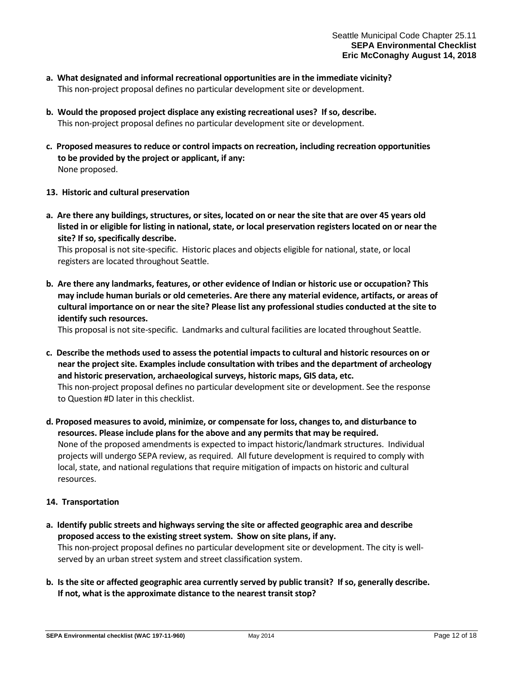- **a. What designated and informal recreational opportunities are in the immediate vicinity?** This non-project proposal defines no particular development site or development.
- **b. Would the proposed project displace any existing recreational uses? If so, describe.** This non-project proposal defines no particular development site or development.
- **c. Proposed measures to reduce or control impacts on recreation, including recreation opportunities to be provided by the project or applicant, if any:** None proposed.
- **13. Historic and cultural preservation**
- **a. Are there any buildings, structures, or sites, located on or near the site that are over 45 years old listed in or eligible for listing in national, state, or local preservation registers located on or near the site? If so, specifically describe.**

This proposal is not site-specific. Historic places and objects eligible for national, state, or local registers are located throughout Seattle.

**b. Are there any landmarks, features, or other evidence of Indian or historic use or occupation? This may include human burials or old cemeteries. Are there any material evidence, artifacts, or areas of cultural importance on or near the site? Please list any professional studies conducted at the site to identify such resources.**

This proposal is not site-specific. Landmarks and cultural facilities are located throughout Seattle.

- **c. Describe the methods used to assess the potential impacts to cultural and historic resources on or near the project site. Examples include consultation with tribes and the department of archeology and historic preservation, archaeological surveys, historic maps, GIS data, etc.**  This non-project proposal defines no particular development site or development. See the response to Question #D later in this checklist.
- **d. Proposed measures to avoid, minimize, or compensate for loss, changes to, and disturbance to resources. Please include plans for the above and any permits that may be required.** None of the proposed amendments is expected to impact historic/landmark structures. Individual projects will undergo SEPA review, as required. All future development is required to comply with local, state, and national regulations that require mitigation of impacts on historic and cultural resources.

# **14. Transportation**

- **a. Identify public streets and highways serving the site or affected geographic area and describe proposed access to the existing street system. Show on site plans, if any.** This non-project proposal defines no particular development site or development. The city is wellserved by an urban street system and street classification system.
- **b. Is the site or affected geographic area currently served by public transit? If so, generally describe. If not, what is the approximate distance to the nearest transit stop?**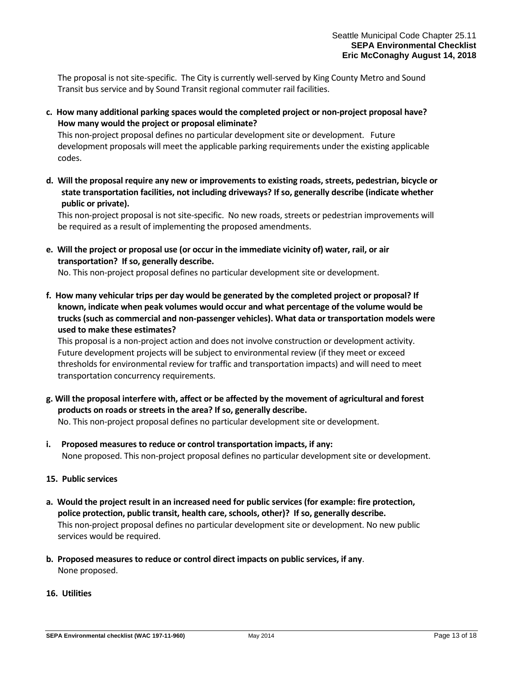The proposal is not site-specific. The City is currently well-served by King County Metro and Sound Transit bus service and by Sound Transit regional commuter rail facilities.

**c. How many additional parking spaces would the completed project or non-project proposal have? How many would the project or proposal eliminate?**

This non-project proposal defines no particular development site or development. Future development proposals will meet the applicable parking requirements under the existing applicable codes.

**d. Will the proposal require any new or improvements to existing roads, streets, pedestrian, bicycle or state transportation facilities, not including driveways? If so, generally describe (indicate whether public or private).**

This non-project proposal is not site-specific. No new roads, streets or pedestrian improvements will be required as a result of implementing the proposed amendments.

**e. Will the project or proposal use (or occur in the immediate vicinity of) water, rail, or air transportation? If so, generally describe.**

No. This non-project proposal defines no particular development site or development.

**f. How many vehicular trips per day would be generated by the completed project or proposal? If known, indicate when peak volumes would occur and what percentage of the volume would be trucks (such as commercial and non-passenger vehicles). What data or transportation models were used to make these estimates?**

This proposal is a non-project action and does not involve construction or development activity. Future development projects will be subject to environmental review (if they meet or exceed thresholds for environmental review for traffic and transportation impacts) and will need to meet transportation concurrency requirements.

**g. Will the proposal interfere with, affect or be affected by the movement of agricultural and forest products on roads or streets in the area? If so, generally describe.**

No. This non-project proposal defines no particular development site or development.

- **i. Proposed measures to reduce or control transportation impacts, if any:** None proposed. This non-project proposal defines no particular development site or development.
- **15. Public services**
- **a. Would the project result in an increased need for public services (for example: fire protection, police protection, public transit, health care, schools, other)? If so, generally describe.** This non-project proposal defines no particular development site or development. No new public services would be required.
- **b. Proposed measures to reduce or control direct impacts on public services, if any**. None proposed.
- **16. Utilities**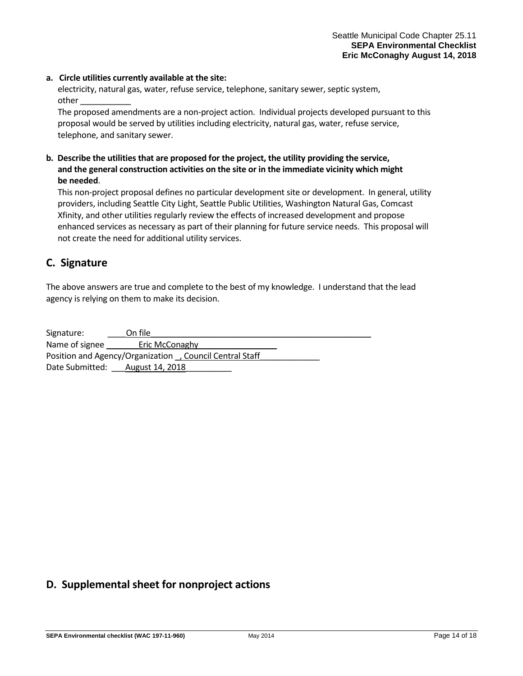#### **a. Circle utilities currently available at the site:**

electricity, natural gas, water, refuse service, telephone, sanitary sewer, septic system, other \_\_\_\_\_\_\_\_\_\_\_

The proposed amendments are a non-project action. Individual projects developed pursuant to this proposal would be served by utilities including electricity, natural gas, water, refuse service, telephone, and sanitary sewer.

# **b. Describe the utilities that are proposed for the project, the utility providing the service, and the general construction activities on the site or in the immediate vicinity which might be needed**.

This non-project proposal defines no particular development site or development. In general, utility providers, including Seattle City Light, Seattle Public Utilities, Washington Natural Gas, Comcast Xfinity, and other utilities regularly review the effects of increased development and propose enhanced services as necessary as part of their planning for future service needs. This proposal will not create the need for additional utility services.

# **C. Signature**

The above answers are true and complete to the best of my knowledge. I understand that the lead agency is relying on them to make its decision.

| Signature:                                               | On file                         |  |
|----------------------------------------------------------|---------------------------------|--|
| Name of signee                                           | Eric McConaghy                  |  |
| Position and Agency/Organization , Council Central Staff |                                 |  |
|                                                          | Date Submitted: August 14, 2018 |  |

# **D. Supplemental sheet for nonproject actions**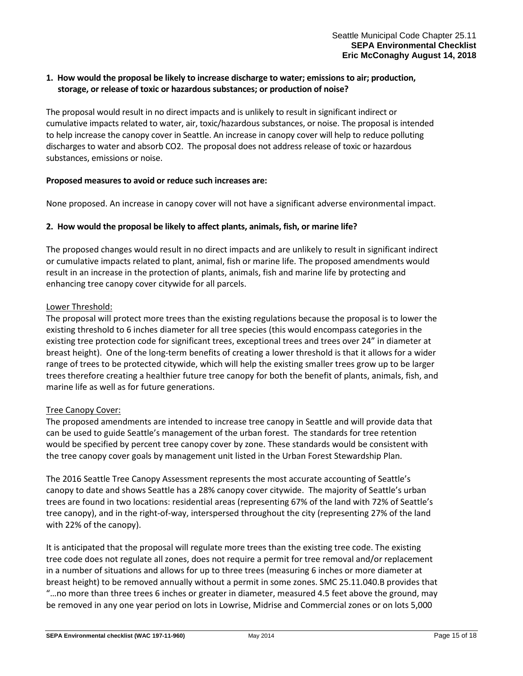# **1. How would the proposal be likely to increase discharge to water; emissions to air; production, storage, or release of toxic or hazardous substances; or production of noise?**

The proposal would result in no direct impacts and is unlikely to result in significant indirect or cumulative impacts related to water, air, toxic/hazardous substances, or noise. The proposal is intended to help increase the canopy cover in Seattle. An increase in canopy cover will help to reduce polluting discharges to water and absorb CO2. The proposal does not address release of toxic or hazardous substances, emissions or noise.

# **Proposed measures to avoid or reduce such increases are:**

None proposed. An increase in canopy cover will not have a significant adverse environmental impact.

## **2. How would the proposal be likely to affect plants, animals, fish, or marine life?**

The proposed changes would result in no direct impacts and are unlikely to result in significant indirect or cumulative impacts related to plant, animal, fish or marine life. The proposed amendments would result in an increase in the protection of plants, animals, fish and marine life by protecting and enhancing tree canopy cover citywide for all parcels.

## Lower Threshold:

The proposal will protect more trees than the existing regulations because the proposal is to lower the existing threshold to 6 inches diameter for all tree species (this would encompass categories in the existing tree protection code for significant trees, exceptional trees and trees over 24" in diameter at breast height). One of the long-term benefits of creating a lower threshold is that it allows for a wider range of trees to be protected citywide, which will help the existing smaller trees grow up to be larger trees therefore creating a healthier future tree canopy for both the benefit of plants, animals, fish, and marine life as well as for future generations.

# Tree Canopy Cover:

The proposed amendments are intended to increase tree canopy in Seattle and will provide data that can be used to guide Seattle's management of the urban forest. The standards for tree retention would be specified by percent tree canopy cover by zone. These standards would be consistent with the tree canopy cover goals by management unit listed in the Urban Forest Stewardship Plan.

The 2016 Seattle Tree Canopy Assessment represents the most accurate accounting of Seattle's canopy to date and shows Seattle has a 28% canopy cover citywide. The majority of Seattle's urban trees are found in two locations: residential areas (representing 67% of the land with 72% of Seattle's tree canopy), and in the right-of-way, interspersed throughout the city (representing 27% of the land with 22% of the canopy).

It is anticipated that the proposal will regulate more trees than the existing tree code. The existing tree code does not regulate all zones, does not require a permit for tree removal and/or replacement in a number of situations and allows for up to three trees (measuring 6 inches or more diameter at breast height) to be removed annually without a permit in some zones. SMC 25.11.040.B provides that "…no more than three trees 6 inches or greater in diameter, measured 4.5 feet above the ground, may be removed in any one year period on lots in Lowrise, Midrise and Commercial zones or on lots 5,000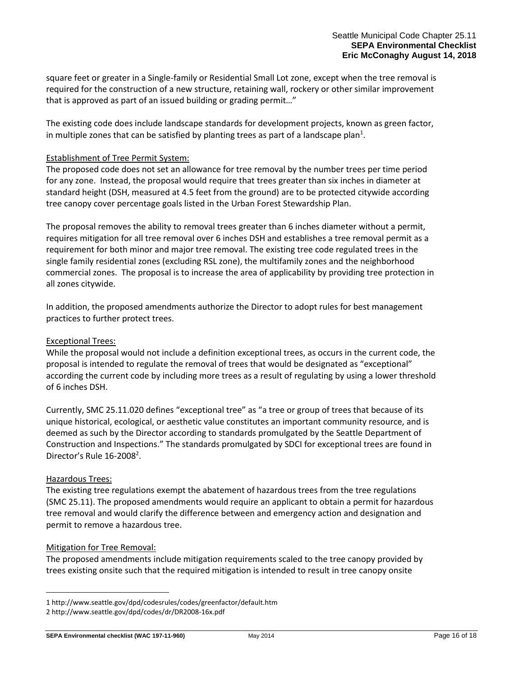square feet or greater in a Single-family or Residential Small Lot zone, except when the tree removal is required for the construction of a new structure, retaining wall, rockery or other similar improvement that is approved as part of an issued building or grading permit…"

The existing code does include landscape standards for development projects, known as green factor, in multiple zones that can be satisfied by planting trees as part of a landscape plan<sup>1</sup>.

## Establishment of Tree Permit System:

The proposed code does not set an allowance for tree removal by the number trees per time period for any zone. Instead, the proposal would require that trees greater than six inches in diameter at standard height (DSH, measured at 4.5 feet from the ground) are to be protected citywide according tree canopy cover percentage goals listed in the Urban Forest Stewardship Plan.

The proposal removes the ability to removal trees greater than 6 inches diameter without a permit, requires mitigation for all tree removal over 6 inches DSH and establishes a tree removal permit as a requirement for both minor and major tree removal. The existing tree code regulated trees in the single family residential zones (excluding RSL zone), the multifamily zones and the neighborhood commercial zones. The proposal is to increase the area of applicability by providing tree protection in all zones citywide.

In addition, the proposed amendments authorize the Director to adopt rules for best management practices to further protect trees.

#### Exceptional Trees:

While the proposal would not include a definition exceptional trees, as occurs in the current code, the proposal is intended to regulate the removal of trees that would be designated as "exceptional" according the current code by including more trees as a result of regulating by using a lower threshold of 6 inches DSH.

Currently, SMC 25.11.020 defines "exceptional tree" as "a tree or group of trees that because of its unique historical, ecological, or aesthetic value constitutes an important community resource, and is deemed as such by the Director according to standards promulgated by the Seattle Department of Construction and Inspections." The standards promulgated by SDCI for exceptional trees are found in Director's Rule  $16-2008^2$ .

#### Hazardous Trees:

i<br>L

The existing tree regulations exempt the abatement of hazardous trees from the tree regulations (SMC 25.11). The proposed amendments would require an applicant to obtain a permit for hazardous tree removal and would clarify the difference between and emergency action and designation and permit to remove a hazardous tree.

#### Mitigation for Tree Removal:

The proposed amendments include mitigation requirements scaled to the tree canopy provided by trees existing onsite such that the required mitigation is intended to result in tree canopy onsite

<sup>1</sup> http://www.seattle.gov/dpd/codesrules/codes/greenfactor/default.htm

<sup>2</sup> http://www.seattle.gov/dpd/codes/dr/DR2008-16x.pdf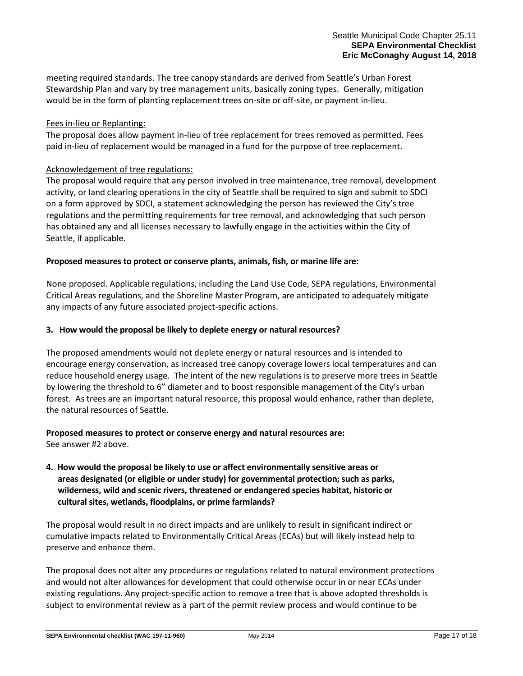meeting required standards. The tree canopy standards are derived from Seattle's Urban Forest Stewardship Plan and vary by tree management units, basically zoning types. Generally, mitigation would be in the form of planting replacement trees on-site or off-site, or payment in-lieu.

## Fees in-lieu or Replanting:

The proposal does allow payment in-lieu of tree replacement for trees removed as permitted. Fees paid in-lieu of replacement would be managed in a fund for the purpose of tree replacement.

## Acknowledgement of tree regulations:

The proposal would require that any person involved in tree maintenance, tree removal, development activity, or land clearing operations in the city of Seattle shall be required to sign and submit to SDCI on a form approved by SDCI, a statement acknowledging the person has reviewed the City's tree regulations and the permitting requirements for tree removal, and acknowledging that such person has obtained any and all licenses necessary to lawfully engage in the activities within the City of Seattle, if applicable.

## **Proposed measures to protect or conserve plants, animals, fish, or marine life are:**

None proposed. Applicable regulations, including the Land Use Code, SEPA regulations, Environmental Critical Areas regulations, and the Shoreline Master Program, are anticipated to adequately mitigate any impacts of any future associated project-specific actions.

## **3. How would the proposal be likely to deplete energy or natural resources?**

The proposed amendments would not deplete energy or natural resources and is intended to encourage energy conservation, as increased tree canopy coverage lowers local temperatures and can reduce household energy usage. The intent of the new regulations is to preserve more trees in Seattle by lowering the threshold to 6" diameter and to boost responsible management of the City's urban forest. As trees are an important natural resource, this proposal would enhance, rather than deplete, the natural resources of Seattle.

# **Proposed measures to protect or conserve energy and natural resources are:**

See answer #2 above.

**4. How would the proposal be likely to use or affect environmentally sensitive areas or areas designated (or eligible or under study) for governmental protection; such as parks, wilderness, wild and scenic rivers, threatened or endangered species habitat, historic or cultural sites, wetlands, floodplains, or prime farmlands?**

The proposal would result in no direct impacts and are unlikely to result in significant indirect or cumulative impacts related to Environmentally Critical Areas (ECAs) but will likely instead help to preserve and enhance them.

The proposal does not alter any procedures or regulations related to natural environment protections and would not alter allowances for development that could otherwise occur in or near ECAs under existing regulations. Any project-specific action to remove a tree that is above adopted thresholds is subject to environmental review as a part of the permit review process and would continue to be